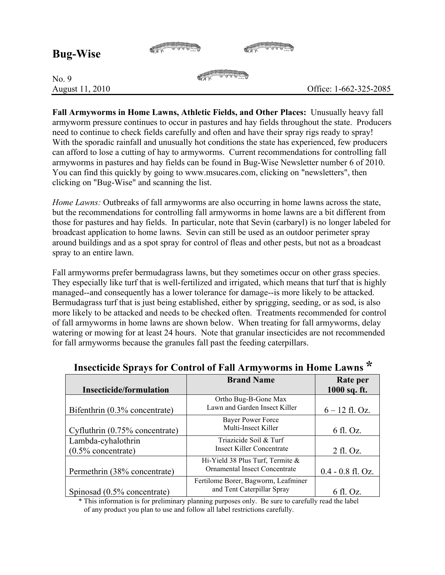| <b>Bug-Wise</b>          |  |                        |
|--------------------------|--|------------------------|
| No. 9<br>August 11, 2010 |  | Office: 1-662-325-2085 |

**Fall Armyworms in Home Lawns, Athletic Fields, and Other Places:** Unusually heavy fall armyworm pressure continues to occur in pastures and hay fields throughout the state. Producers need to continue to check fields carefully and often and have their spray rigs ready to spray! With the sporadic rainfall and unusually hot conditions the state has experienced, few producers can afford to lose a cutting of hay to armyworms. Current recommendations for controlling fall armyworms in pastures and hay fields can be found in Bug-Wise Newsletter number 6 of 2010. You can find this quickly by going to www.msucares.com, clicking on "newsletters", then clicking on "Bug-Wise" and scanning the list.

*Home Lawns:* Outbreaks of fall armyworms are also occurring in home lawns across the state, but the recommendations for controlling fall armyworms in home lawns are a bit different from those for pastures and hay fields. In particular, note that Sevin (carbaryl) is no longer labeled for broadcast application to home lawns. Sevin can still be used as an outdoor perimeter spray around buildings and as a spot spray for control of fleas and other pests, but not as a broadcast spray to an entire lawn.

Fall armyworms prefer bermudagrass lawns, but they sometimes occur on other grass species. They especially like turf that is well-fertilized and irrigated, which means that turf that is highly managed--and consequently has a lower tolerance for damage--is more likely to be attacked. Bermudagrass turf that is just being established, either by sprigging, seeding, or as sod, is also more likely to be attacked and needs to be checked often. Treatments recommended for control of fall armyworms in home lawns are shown below. When treating for fall armyworms, delay watering or mowing for at least 24 hours. Note that granular insecticides are not recommended for fall armyworms because the granules fall past the feeding caterpillars.

| movemme sprays for Control of Fair many worms in Home Bawing |                                      |                     |  |  |
|--------------------------------------------------------------|--------------------------------------|---------------------|--|--|
|                                                              | <b>Brand Name</b>                    | Rate per            |  |  |
| <b>Insecticide/formulation</b>                               |                                      | 1000 sq. ft.        |  |  |
|                                                              | Ortho Bug-B-Gone Max                 |                     |  |  |
| Bifenthrin (0.3% concentrate)                                | Lawn and Garden Insect Killer        | $6 - 12$ fl. Oz.    |  |  |
|                                                              | <b>Bayer Power Force</b>             |                     |  |  |
| Cyfluthrin (0.75% concentrate)                               | Multi-Insect Killer                  | 6 fl. Oz.           |  |  |
| Lambda-cyhalothrin                                           | Triazicide Soil & Turf               |                     |  |  |
| $(0.5\%$ concentrate)                                        | Insect Killer Concentrate            | $2$ fl. Oz.         |  |  |
|                                                              | Hi-Yield 38 Plus Turf, Termite &     |                     |  |  |
| Permethrin (38% concentrate)                                 | <b>Ornamental Insect Concentrate</b> | $0.4 - 0.8$ fl. Oz. |  |  |
|                                                              | Fertilome Borer, Bagworm, Leafminer  |                     |  |  |
| Spinosad (0.5% concentrate)                                  | and Tent Caterpillar Spray           | 6 fl. Oz.           |  |  |

## **Insecticide Sprays for Control of Fall Armyworms in Home Lawns \***

\* This information is for preliminary planning purposes only. Be sure to carefully read the label of any product you plan to use and follow all label restrictions carefully.